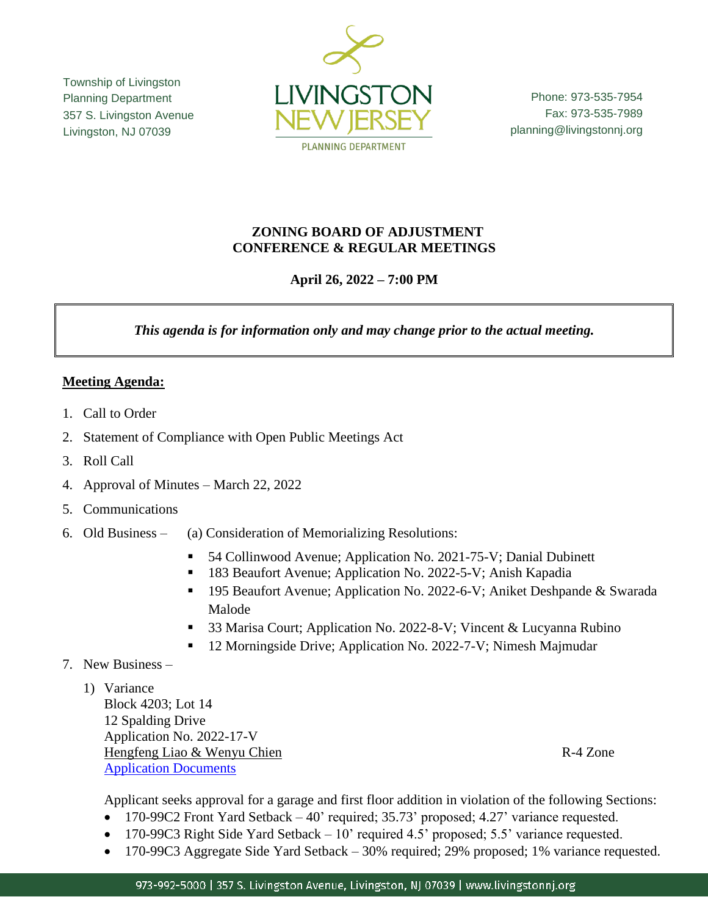Township of Livingston Planning Department 357 S. Livingston Avenue Livingston, NJ 07039



Phone: 973-535-7954 Fax: 973-535-7989 planning@livingstonnj.org

### **ZONING BOARD OF ADJUSTMENT CONFERENCE & REGULAR MEETINGS**

# **April 26, 2022 – 7:00 PM**

*This agenda is for information only and may change prior to the actual meeting.*

# **Meeting Agenda:**

- 1. Call to Order
- 2. Statement of Compliance with Open Public Meetings Act
- 3. Roll Call
- 4. Approval of Minutes March 22, 2022
- 5. Communications
- 6. Old Business (a) Consideration of Memorializing Resolutions:
	- 54 Collinwood Avenue; Application No. 2021-75-V; Danial Dubinett
	- 183 Beaufort Avenue; Application No. 2022-5-V; Anish Kapadia
	- 195 Beaufort Avenue; Application No. 2022-6-V; Aniket Deshpande & Swarada Malode
	- 33 Marisa Court; Application No. 2022-8-V; Vincent & Lucyanna Rubino
	- 12 Morningside Drive; Application No. 2022-7-V; Nimesh Majmudar
- 7. New Business
	- 1) Variance

Block 4203; Lot 14 12 Spalding Drive Application No. 2022-17-V Hengfeng Liao & Wenyu Chien R-4 Zone [Application Documents](http://livingstonnj.org/DocumentCenter/View/13726/12-Spalding-Drive---Application-Docs)

Applicant seeks approval for a garage and first floor addition in violation of the following Sections:

- 170-99C2 Front Yard Setback 40' required; 35.73' proposed; 4.27' variance requested.
- 170-99C3 Right Side Yard Setback 10' required 4.5' proposed; 5.5' variance requested.
- 170-99C3 Aggregate Side Yard Setback 30% required; 29% proposed; 1% variance requested.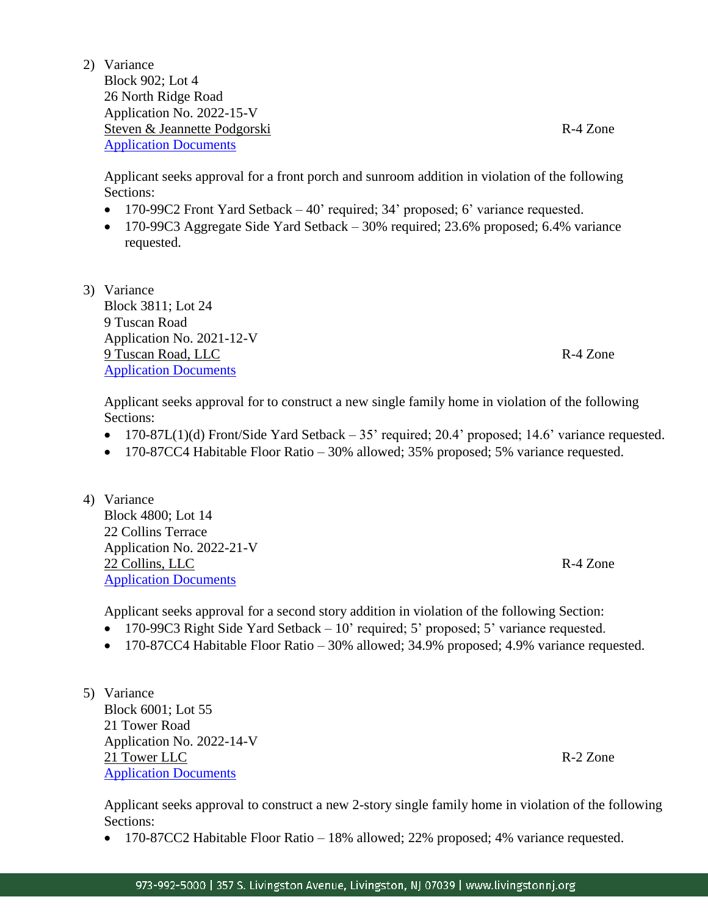2) Variance Block 902; Lot 4

26 North Ridge Road Application No. 2022-15-V Steven & Jeannette Podgorski R-4 Zone [Application Documents](http://livingstonnj.org/DocumentCenter/View/13727/26-N-Ridge-Road---Application-Docs)

Applicant seeks approval for a front porch and sunroom addition in violation of the following Sections:

- 170-99C2 Front Yard Setback 40' required; 34' proposed; 6' variance requested.
- 170-99C3 Aggregate Side Yard Setback 30% required; 23.6% proposed; 6.4% variance requested.
- 3) Variance Block 3811; Lot 24 9 Tuscan Road Application No. 2021-12-V 9 Tuscan Road, LLC R-4 Zone [Application Documents](http://livingstonnj.org/DocumentCenter/View/13725/9-Tuscan-Road---Application-Docs)

Applicant seeks approval for to construct a new single family home in violation of the following Sections:

- 170-87L(1)(d) Front/Side Yard Setback 35' required; 20.4' proposed; 14.6' variance requested.
- 170-87CC4 Habitable Floor Ratio 30% allowed; 35% proposed; 5% variance requested.
- 4) Variance Block 4800; Lot 14 22 Collins Terrace Application No. 2022-21-V 22 Collins, LLC R-4 Zone [Application Documents](http://livingstonnj.org/DocumentCenter/View/13728/22-Collins-Terr---Application-Docs)

Applicant seeks approval for a second story addition in violation of the following Section:

- 170-99C3 Right Side Yard Setback 10' required; 5' proposed; 5' variance requested.
- 170-87CC4 Habitable Floor Ratio 30% allowed; 34.9% proposed; 4.9% variance requested.
- 5) Variance Block 6001; Lot 55 21 Tower Road Application No. 2022-14-V 21 Tower LLC R-2 Zone [Application Documents](http://livingstonnj.org/DocumentCenter/View/13756/21-Tower-Road---Application-Docs)

Applicant seeks approval to construct a new 2-story single family home in violation of the following Sections:

• 170-87CC2 Habitable Floor Ratio – 18% allowed; 22% proposed; 4% variance requested.